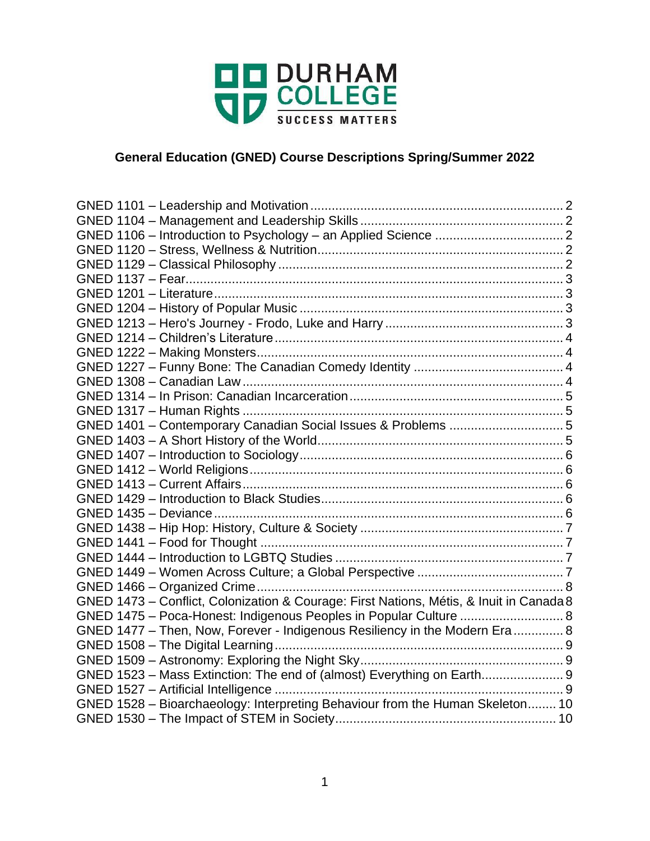

# **General Education (GNED) Course Descriptions Spring/Summer 2022**

| GNED 1401 - Contemporary Canadian Social Issues & Problems 5                            |  |
|-----------------------------------------------------------------------------------------|--|
|                                                                                         |  |
|                                                                                         |  |
|                                                                                         |  |
|                                                                                         |  |
|                                                                                         |  |
|                                                                                         |  |
|                                                                                         |  |
|                                                                                         |  |
|                                                                                         |  |
|                                                                                         |  |
|                                                                                         |  |
| GNED 1473 - Conflict, Colonization & Courage: First Nations, Métis, & Inuit in Canada 8 |  |
| GNED 1475 - Poca-Honest: Indigenous Peoples in Popular Culture  8                       |  |
| GNED 1477 - Then, Now, Forever - Indigenous Resiliency in the Modern Era  8             |  |
|                                                                                         |  |
|                                                                                         |  |
| GNED 1523 - Mass Extinction: The end of (almost) Everything on Earth 9                  |  |
|                                                                                         |  |
| GNED 1528 - Bioarchaeology: Interpreting Behaviour from the Human Skeleton 10           |  |
|                                                                                         |  |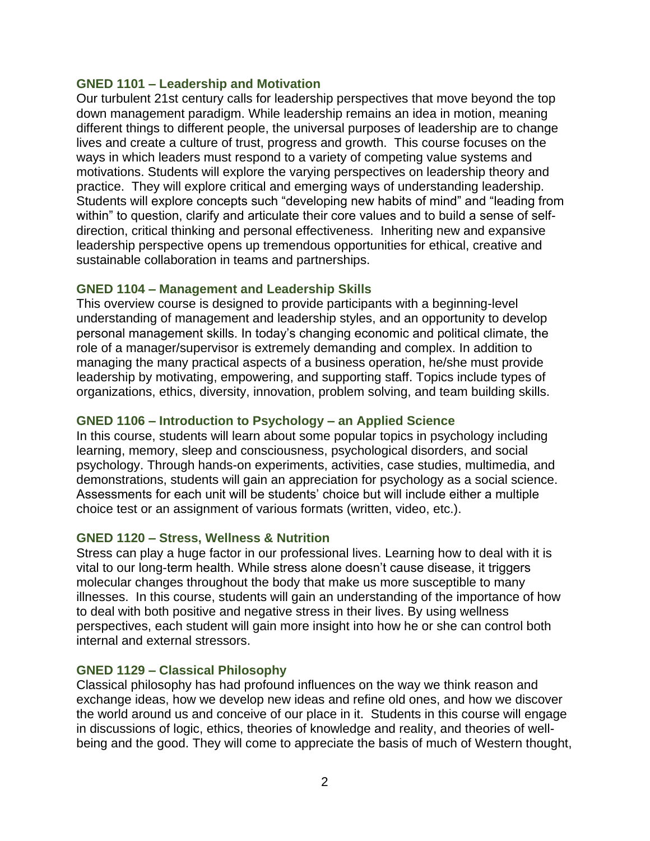### <span id="page-1-0"></span>**GNED 1101 – Leadership and Motivation**

Our turbulent 21st century calls for leadership perspectives that move beyond the top down management paradigm. While leadership remains an idea in motion, meaning different things to different people, the universal purposes of leadership are to change lives and create a culture of trust, progress and growth. This course focuses on the ways in which leaders must respond to a variety of competing value systems and motivations. Students will explore the varying perspectives on leadership theory and practice. They will explore critical and emerging ways of understanding leadership. Students will explore concepts such "developing new habits of mind" and "leading from within" to question, clarify and articulate their core values and to build a sense of selfdirection, critical thinking and personal effectiveness. Inheriting new and expansive leadership perspective opens up tremendous opportunities for ethical, creative and sustainable collaboration in teams and partnerships.

#### <span id="page-1-1"></span>**GNED 1104 – Management and Leadership Skills**

This overview course is designed to provide participants with a beginning-level understanding of management and leadership styles, and an opportunity to develop personal management skills. In today's changing economic and political climate, the role of a manager/supervisor is extremely demanding and complex. In addition to managing the many practical aspects of a business operation, he/she must provide leadership by motivating, empowering, and supporting staff. Topics include types of organizations, ethics, diversity, innovation, problem solving, and team building skills.

#### <span id="page-1-2"></span>**GNED 1106 – Introduction to Psychology – an Applied Science**

In this course, students will learn about some popular topics in psychology including learning, memory, sleep and consciousness, psychological disorders, and social psychology. Through hands-on experiments, activities, case studies, multimedia, and demonstrations, students will gain an appreciation for psychology as a social science. Assessments for each unit will be students' choice but will include either a multiple choice test or an assignment of various formats (written, video, etc.).

#### <span id="page-1-3"></span>**GNED 1120 – Stress, Wellness & Nutrition**

Stress can play a huge factor in our professional lives. Learning how to deal with it is vital to our long-term health. While stress alone doesn't cause disease, it triggers molecular changes throughout the body that make us more susceptible to many illnesses. In this course, students will gain an understanding of the importance of how to deal with both positive and negative stress in their lives. By using wellness perspectives, each student will gain more insight into how he or she can control both internal and external stressors.

#### <span id="page-1-4"></span>**GNED 1129 – Classical Philosophy**

Classical philosophy has had profound influences on the way we think reason and exchange ideas, how we develop new ideas and refine old ones, and how we discover the world around us and conceive of our place in it. Students in this course will engage in discussions of logic, ethics, theories of knowledge and reality, and theories of wellbeing and the good. They will come to appreciate the basis of much of Western thought,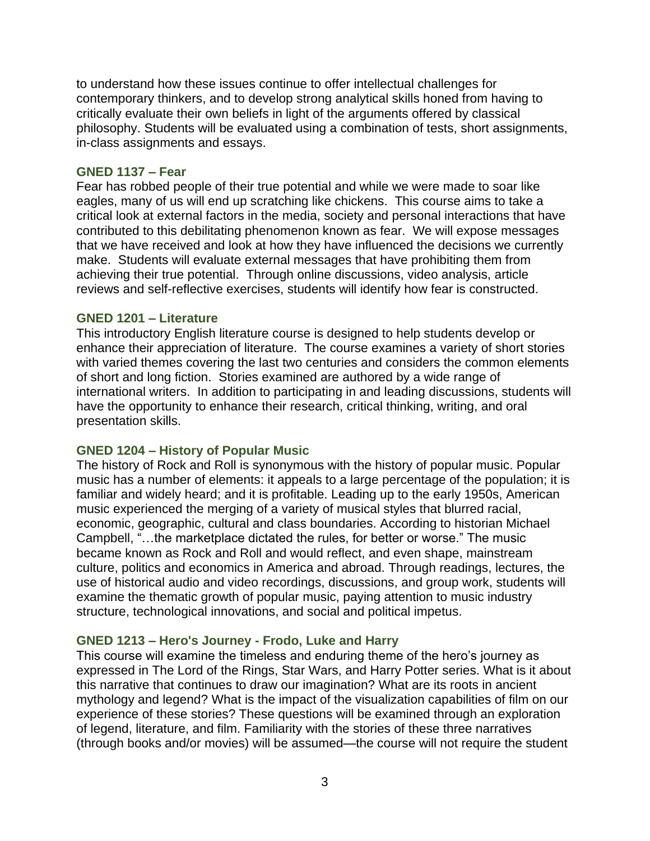to understand how these issues continue to offer intellectual challenges for contemporary thinkers, and to develop strong analytical skills honed from having to critically evaluate their own beliefs in light of the arguments offered by classical philosophy. Students will be evaluated using a combination of tests, short assignments, in-class assignments and essays.

### <span id="page-2-0"></span>**GNED 1137 – Fear**

Fear has robbed people of their true potential and while we were made to soar like eagles, many of us will end up scratching like chickens. This course aims to take a critical look at external factors in the media, society and personal interactions that have contributed to this debilitating phenomenon known as fear. We will expose messages that we have received and look at how they have influenced the decisions we currently make. Students will evaluate external messages that have prohibiting them from achieving their true potential. Through online discussions, video analysis, article reviews and self-reflective exercises, students will identify how fear is constructed.

### <span id="page-2-1"></span>**GNED 1201 – Literature**

This introductory English literature course is designed to help students develop or enhance their appreciation of literature. The course examines a variety of short stories with varied themes covering the last two centuries and considers the common elements of short and long fiction. Stories examined are authored by a wide range of international writers. In addition to participating in and leading discussions, students will have the opportunity to enhance their research, critical thinking, writing, and oral presentation skills.

### <span id="page-2-2"></span>**GNED 1204 – History of Popular Music**

The history of Rock and Roll is synonymous with the history of popular music. Popular music has a number of elements: it appeals to a large percentage of the population; it is familiar and widely heard; and it is profitable. Leading up to the early 1950s, American music experienced the merging of a variety of musical styles that blurred racial, economic, geographic, cultural and class boundaries. According to historian Michael Campbell, "…the marketplace dictated the rules, for better or worse." The music became known as Rock and Roll and would reflect, and even shape, mainstream culture, politics and economics in America and abroad. Through readings, lectures, the use of historical audio and video recordings, discussions, and group work, students will examine the thematic growth of popular music, paying attention to music industry structure, technological innovations, and social and political impetus.

### <span id="page-2-3"></span>**GNED 1213 – Hero's Journey - Frodo, Luke and Harry**

This course will examine the timeless and enduring theme of the hero's journey as expressed in The Lord of the Rings, Star Wars, and Harry Potter series. What is it about this narrative that continues to draw our imagination? What are its roots in ancient mythology and legend? What is the impact of the visualization capabilities of film on our experience of these stories? These questions will be examined through an exploration of legend, literature, and film. Familiarity with the stories of these three narratives (through books and/or movies) will be assumed—the course will not require the student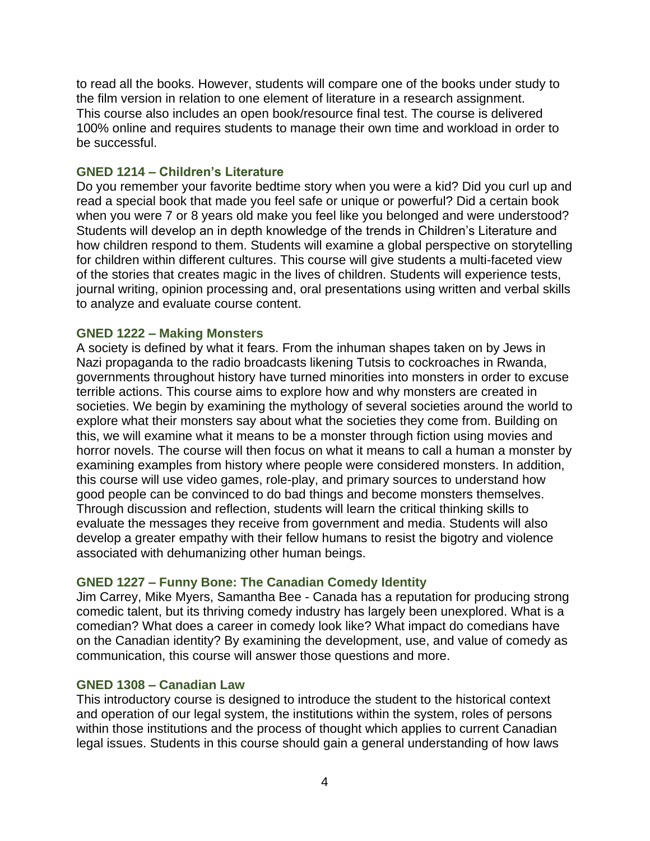to read all the books. However, students will compare one of the books under study to the film version in relation to one element of literature in a research assignment. This course also includes an open book/resource final test. The course is delivered 100% online and requires students to manage their own time and workload in order to be successful.

## <span id="page-3-0"></span>**GNED 1214 – Children's Literature**

Do you remember your favorite bedtime story when you were a kid? Did you curl up and read a special book that made you feel safe or unique or powerful? Did a certain book when you were 7 or 8 years old make you feel like you belonged and were understood? Students will develop an in depth knowledge of the trends in Children's Literature and how children respond to them. Students will examine a global perspective on storytelling for children within different cultures. This course will give students a multi-faceted view of the stories that creates magic in the lives of children. Students will experience tests, journal writing, opinion processing and, oral presentations using written and verbal skills to analyze and evaluate course content.

# <span id="page-3-1"></span>**GNED 1222 – Making Monsters**

A society is defined by what it fears. From the inhuman shapes taken on by Jews in Nazi propaganda to the radio broadcasts likening Tutsis to cockroaches in Rwanda, governments throughout history have turned minorities into monsters in order to excuse terrible actions. This course aims to explore how and why monsters are created in societies. We begin by examining the mythology of several societies around the world to explore what their monsters say about what the societies they come from. Building on this, we will examine what it means to be a monster through fiction using movies and horror novels. The course will then focus on what it means to call a human a monster by examining examples from history where people were considered monsters. In addition, this course will use video games, role-play, and primary sources to understand how good people can be convinced to do bad things and become monsters themselves. Through discussion and reflection, students will learn the critical thinking skills to evaluate the messages they receive from government and media. Students will also develop a greater empathy with their fellow humans to resist the bigotry and violence associated with dehumanizing other human beings.

# <span id="page-3-2"></span>**GNED 1227 – Funny Bone: The Canadian Comedy Identity**

Jim Carrey, Mike Myers, Samantha Bee - Canada has a reputation for producing strong comedic talent, but its thriving comedy industry has largely been unexplored. What is a comedian? What does a career in comedy look like? What impact do comedians have on the Canadian identity? By examining the development, use, and value of comedy as communication, this course will answer those questions and more.

### <span id="page-3-3"></span>**GNED 1308 – Canadian Law**

This introductory course is designed to introduce the student to the historical context and operation of our legal system, the institutions within the system, roles of persons within those institutions and the process of thought which applies to current Canadian legal issues. Students in this course should gain a general understanding of how laws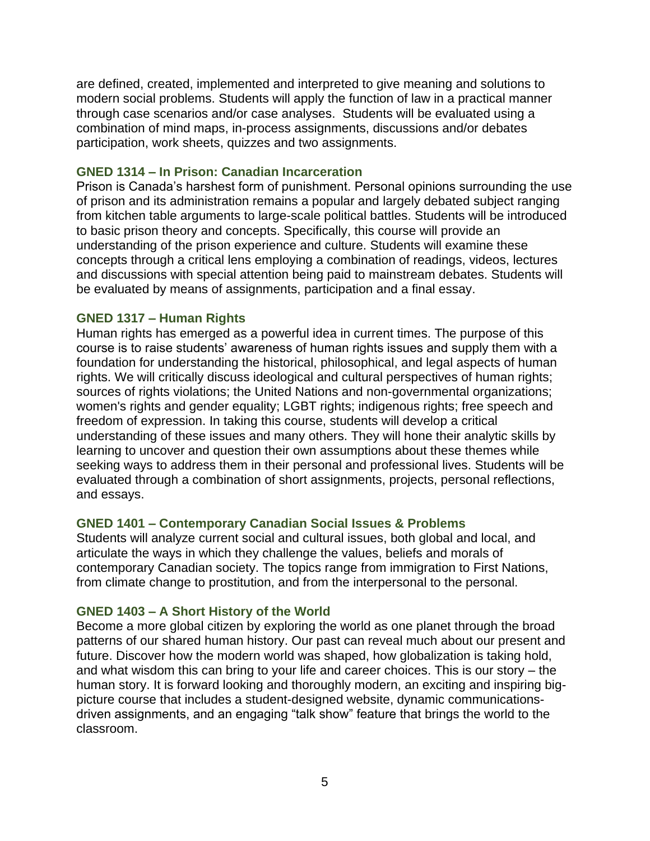are defined, created, implemented and interpreted to give meaning and solutions to modern social problems. Students will apply the function of law in a practical manner through case scenarios and/or case analyses. Students will be evaluated using a combination of mind maps, in-process assignments, discussions and/or debates participation, work sheets, quizzes and two assignments.

### <span id="page-4-0"></span>**GNED 1314 – In Prison: Canadian Incarceration**

Prison is Canada's harshest form of punishment. Personal opinions surrounding the use of prison and its administration remains a popular and largely debated subject ranging from kitchen table arguments to large-scale political battles. Students will be introduced to basic prison theory and concepts. Specifically, this course will provide an understanding of the prison experience and culture. Students will examine these concepts through a critical lens employing a combination of readings, videos, lectures and discussions with special attention being paid to mainstream debates. Students will be evaluated by means of assignments, participation and a final essay.

### <span id="page-4-1"></span>**GNED 1317 – Human Rights**

Human rights has emerged as a powerful idea in current times. The purpose of this course is to raise students' awareness of human rights issues and supply them with a foundation for understanding the historical, philosophical, and legal aspects of human rights. We will critically discuss ideological and cultural perspectives of human rights; sources of rights violations; the United Nations and non-governmental organizations; women's rights and gender equality; LGBT rights; indigenous rights; free speech and freedom of expression. In taking this course, students will develop a critical understanding of these issues and many others. They will hone their analytic skills by learning to uncover and question their own assumptions about these themes while seeking ways to address them in their personal and professional lives. Students will be evaluated through a combination of short assignments, projects, personal reflections, and essays.

### <span id="page-4-2"></span>**GNED 1401 – Contemporary Canadian Social Issues & Problems**

Students will analyze current social and cultural issues, both global and local, and articulate the ways in which they challenge the values, beliefs and morals of contemporary Canadian society. The topics range from immigration to First Nations, from climate change to prostitution, and from the interpersonal to the personal.

#### <span id="page-4-3"></span>**GNED 1403 – A Short History of the World**

Become a more global citizen by exploring the world as one planet through the broad patterns of our shared human history. Our past can reveal much about our present and future. Discover how the modern world was shaped, how globalization is taking hold, and what wisdom this can bring to your life and career choices. This is our story – the human story. It is forward looking and thoroughly modern, an exciting and inspiring bigpicture course that includes a student-designed website, dynamic communicationsdriven assignments, and an engaging "talk show" feature that brings the world to the classroom.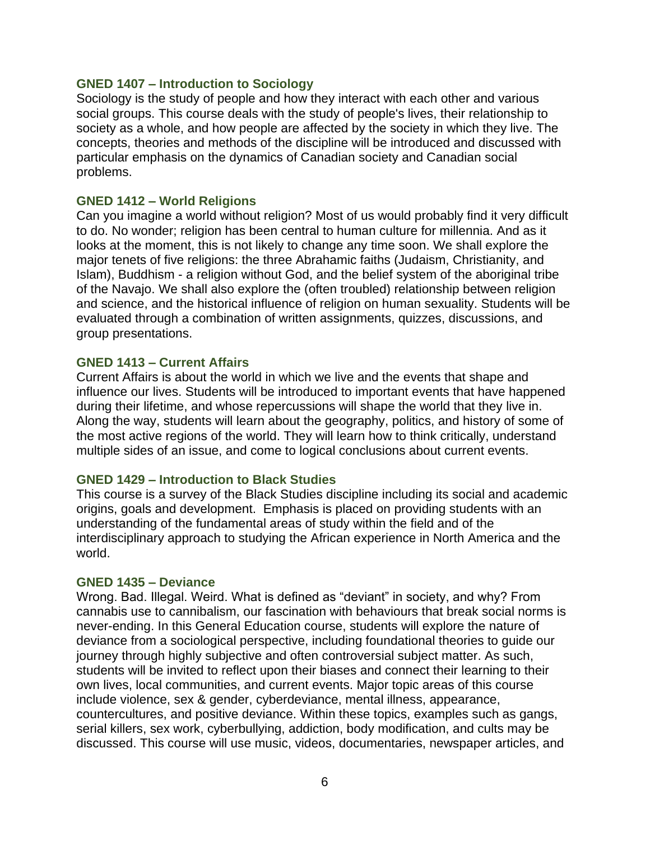#### <span id="page-5-0"></span>**GNED 1407 – Introduction to Sociology**

Sociology is the study of people and how they interact with each other and various social groups. This course deals with the study of people's lives, their relationship to society as a whole, and how people are affected by the society in which they live. The concepts, theories and methods of the discipline will be introduced and discussed with particular emphasis on the dynamics of Canadian society and Canadian social problems.

#### <span id="page-5-1"></span>**GNED 1412 – World Religions**

Can you imagine a world without religion? Most of us would probably find it very difficult to do. No wonder; religion has been central to human culture for millennia. And as it looks at the moment, this is not likely to change any time soon. We shall explore the major tenets of five religions: the three Abrahamic faiths (Judaism, Christianity, and Islam), Buddhism - a religion without God, and the belief system of the aboriginal tribe of the Navajo. We shall also explore the (often troubled) relationship between religion and science, and the historical influence of religion on human sexuality. Students will be evaluated through a combination of written assignments, quizzes, discussions, and group presentations.

#### <span id="page-5-2"></span>**GNED 1413 – Current Affairs**

Current Affairs is about the world in which we live and the events that shape and influence our lives. Students will be introduced to important events that have happened during their lifetime, and whose repercussions will shape the world that they live in. Along the way, students will learn about the geography, politics, and history of some of the most active regions of the world. They will learn how to think critically, understand multiple sides of an issue, and come to logical conclusions about current events.

#### <span id="page-5-3"></span>**GNED 1429 – Introduction to Black Studies**

This course is a survey of the Black Studies discipline including its social and academic origins, goals and development. Emphasis is placed on providing students with an understanding of the fundamental areas of study within the field and of the interdisciplinary approach to studying the African experience in North America and the world.

#### <span id="page-5-4"></span>**GNED 1435 – Deviance**

Wrong. Bad. Illegal. Weird. What is defined as "deviant" in society, and why? From cannabis use to cannibalism, our fascination with behaviours that break social norms is never-ending. In this General Education course, students will explore the nature of deviance from a sociological perspective, including foundational theories to guide our journey through highly subjective and often controversial subject matter. As such, students will be invited to reflect upon their biases and connect their learning to their own lives, local communities, and current events. Major topic areas of this course include violence, sex & gender, cyberdeviance, mental illness, appearance, countercultures, and positive deviance. Within these topics, examples such as gangs, serial killers, sex work, cyberbullying, addiction, body modification, and cults may be discussed. This course will use music, videos, documentaries, newspaper articles, and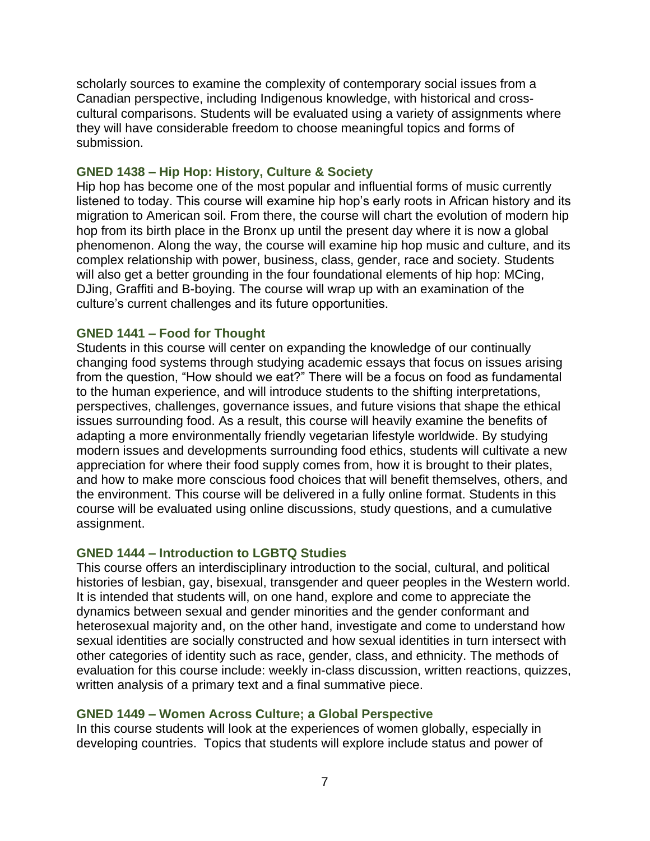scholarly sources to examine the complexity of contemporary social issues from a Canadian perspective, including Indigenous knowledge, with historical and crosscultural comparisons. Students will be evaluated using a variety of assignments where they will have considerable freedom to choose meaningful topics and forms of submission.

### <span id="page-6-0"></span>**GNED 1438 – Hip Hop: History, Culture & Society**

Hip hop has become one of the most popular and influential forms of music currently listened to today. This course will examine hip hop's early roots in African history and its migration to American soil. From there, the course will chart the evolution of modern hip hop from its birth place in the Bronx up until the present day where it is now a global phenomenon. Along the way, the course will examine hip hop music and culture, and its complex relationship with power, business, class, gender, race and society. Students will also get a better grounding in the four foundational elements of hip hop: MCing, DJing, Graffiti and B-boying. The course will wrap up with an examination of the culture's current challenges and its future opportunities.

### <span id="page-6-1"></span>**GNED 1441 – Food for Thought**

Students in this course will center on expanding the knowledge of our continually changing food systems through studying academic essays that focus on issues arising from the question, "How should we eat?" There will be a focus on food as fundamental to the human experience, and will introduce students to the shifting interpretations, perspectives, challenges, governance issues, and future visions that shape the ethical issues surrounding food. As a result, this course will heavily examine the benefits of adapting a more environmentally friendly vegetarian lifestyle worldwide. By studying modern issues and developments surrounding food ethics, students will cultivate a new appreciation for where their food supply comes from, how it is brought to their plates, and how to make more conscious food choices that will benefit themselves, others, and the environment. This course will be delivered in a fully online format. Students in this course will be evaluated using online discussions, study questions, and a cumulative assignment.

### <span id="page-6-2"></span>**GNED 1444 – Introduction to LGBTQ Studies**

This course offers an interdisciplinary introduction to the social, cultural, and political histories of lesbian, gay, bisexual, transgender and queer peoples in the Western world. It is intended that students will, on one hand, explore and come to appreciate the dynamics between sexual and gender minorities and the gender conformant and heterosexual majority and, on the other hand, investigate and come to understand how sexual identities are socially constructed and how sexual identities in turn intersect with other categories of identity such as race, gender, class, and ethnicity. The methods of evaluation for this course include: weekly in-class discussion, written reactions, quizzes, written analysis of a primary text and a final summative piece.

### <span id="page-6-3"></span>**GNED 1449 – Women Across Culture; a Global Perspective**

In this course students will look at the experiences of women globally, especially in developing countries. Topics that students will explore include status and power of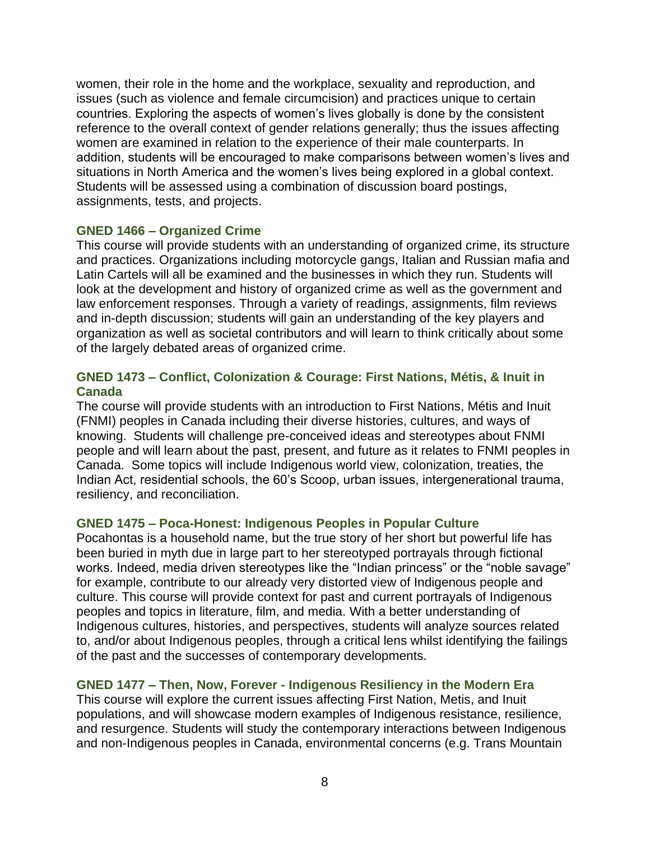women, their role in the home and the workplace, sexuality and reproduction, and issues (such as violence and female circumcision) and practices unique to certain countries. Exploring the aspects of women's lives globally is done by the consistent reference to the overall context of gender relations generally; thus the issues affecting women are examined in relation to the experience of their male counterparts. In addition, students will be encouraged to make comparisons between women's lives and situations in North America and the women's lives being explored in a global context. Students will be assessed using a combination of discussion board postings, assignments, tests, and projects.

### <span id="page-7-0"></span>**GNED 1466 – Organized Crime**

This course will provide students with an understanding of organized crime, its structure and practices. Organizations including motorcycle gangs, Italian and Russian mafia and Latin Cartels will all be examined and the businesses in which they run. Students will look at the development and history of organized crime as well as the government and law enforcement responses. Through a variety of readings, assignments, film reviews and in-depth discussion; students will gain an understanding of the key players and organization as well as societal contributors and will learn to think critically about some of the largely debated areas of organized crime.

## <span id="page-7-1"></span>**GNED 1473 – Conflict, Colonization & Courage: First Nations, Métis, & Inuit in Canada**

The course will provide students with an introduction to First Nations, Métis and Inuit (FNMI) peoples in Canada including their diverse histories, cultures, and ways of knowing. Students will challenge pre-conceived ideas and stereotypes about FNMI people and will learn about the past, present, and future as it relates to FNMI peoples in Canada. Some topics will include Indigenous world view, colonization, treaties, the Indian Act, residential schools, the 60's Scoop, urban issues, intergenerational trauma, resiliency, and reconciliation.

### <span id="page-7-2"></span>**GNED 1475 – Poca-Honest: Indigenous Peoples in Popular Culture**

Pocahontas is a household name, but the true story of her short but powerful life has been buried in myth due in large part to her stereotyped portrayals through fictional works. Indeed, media driven stereotypes like the "Indian princess" or the "noble savage" for example, contribute to our already very distorted view of Indigenous people and culture. This course will provide context for past and current portrayals of Indigenous peoples and topics in literature, film, and media. With a better understanding of Indigenous cultures, histories, and perspectives, students will analyze sources related to, and/or about Indigenous peoples, through a critical lens whilst identifying the failings of the past and the successes of contemporary developments.

### <span id="page-7-3"></span>**GNED 1477 – Then, Now, Forever - Indigenous Resiliency in the Modern Era**

This course will explore the current issues affecting First Nation, Metis, and Inuit populations, and will showcase modern examples of Indigenous resistance, resilience, and resurgence. Students will study the contemporary interactions between Indigenous and non-Indigenous peoples in Canada, environmental concerns (e.g. Trans Mountain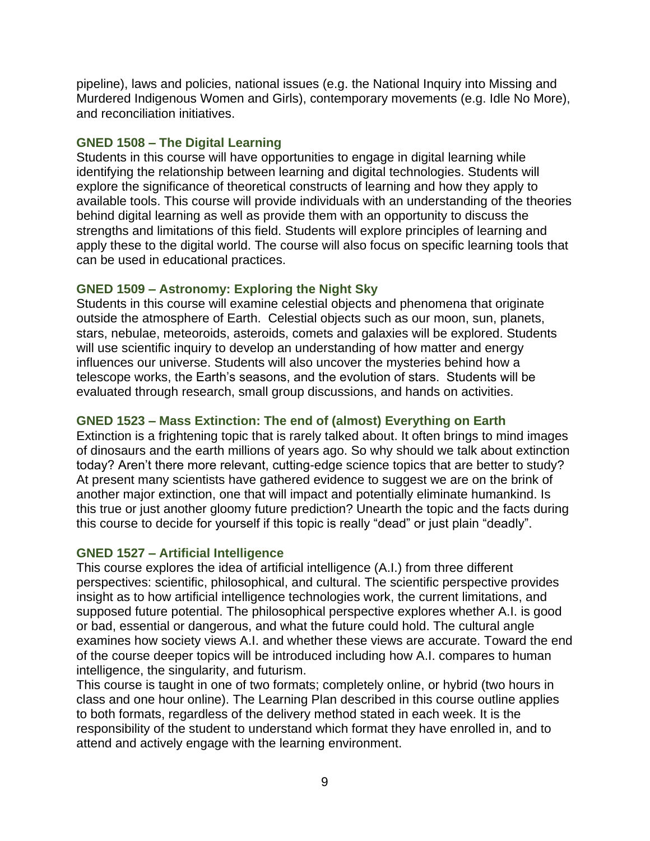pipeline), laws and policies, national issues (e.g. the National Inquiry into Missing and Murdered Indigenous Women and Girls), contemporary movements (e.g. Idle No More), and reconciliation initiatives.

## <span id="page-8-0"></span>**GNED 1508 – The Digital Learning**

Students in this course will have opportunities to engage in digital learning while identifying the relationship between learning and digital technologies. Students will explore the significance of theoretical constructs of learning and how they apply to available tools. This course will provide individuals with an understanding of the theories behind digital learning as well as provide them with an opportunity to discuss the strengths and limitations of this field. Students will explore principles of learning and apply these to the digital world. The course will also focus on specific learning tools that can be used in educational practices.

# <span id="page-8-1"></span>**GNED 1509 – Astronomy: Exploring the Night Sky**

Students in this course will examine celestial objects and phenomena that originate outside the atmosphere of Earth. Celestial objects such as our moon, sun, planets, stars, nebulae, meteoroids, asteroids, comets and galaxies will be explored. Students will use scientific inquiry to develop an understanding of how matter and energy influences our universe. Students will also uncover the mysteries behind how a telescope works, the Earth's seasons, and the evolution of stars. Students will be evaluated through research, small group discussions, and hands on activities.

# <span id="page-8-2"></span>**GNED 1523 – Mass Extinction: The end of (almost) Everything on Earth**

Extinction is a frightening topic that is rarely talked about. It often brings to mind images of dinosaurs and the earth millions of years ago. So why should we talk about extinction today? Aren't there more relevant, cutting-edge science topics that are better to study? At present many scientists have gathered evidence to suggest we are on the brink of another major extinction, one that will impact and potentially eliminate humankind. Is this true or just another gloomy future prediction? Unearth the topic and the facts during this course to decide for yourself if this topic is really "dead" or just plain "deadly".

# <span id="page-8-3"></span>**GNED 1527 – Artificial Intelligence**

This course explores the idea of artificial intelligence (A.I.) from three different perspectives: scientific, philosophical, and cultural. The scientific perspective provides insight as to how artificial intelligence technologies work, the current limitations, and supposed future potential. The philosophical perspective explores whether A.I. is good or bad, essential or dangerous, and what the future could hold. The cultural angle examines how society views A.I. and whether these views are accurate. Toward the end of the course deeper topics will be introduced including how A.I. compares to human intelligence, the singularity, and futurism.

This course is taught in one of two formats; completely online, or hybrid (two hours in class and one hour online). The Learning Plan described in this course outline applies to both formats, regardless of the delivery method stated in each week. It is the responsibility of the student to understand which format they have enrolled in, and to attend and actively engage with the learning environment.